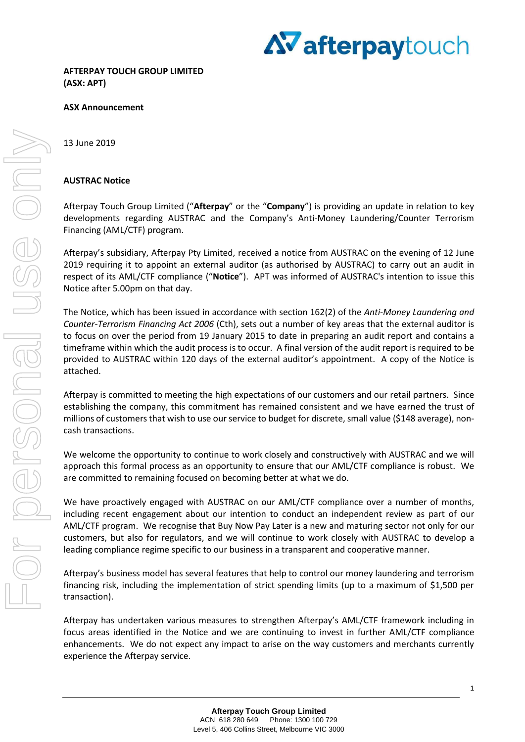

# **ASX Announcement**

## 13 June 2019

# **AUSTRAC Notice**

Afterpay Touch Group Limited ("**Afterpay**" or the "**Company**") is providing an update in relation to key developments regarding AUSTRAC and the Company's Anti-Money Laundering/Counter Terrorism Financing (AML/CTF) program.

Afterpay's subsidiary, Afterpay Pty Limited, received a notice from AUSTRAC on the evening of 12 June 2019 requiring it to appoint an external auditor (as authorised by AUSTRAC) to carry out an audit in respect of its AML/CTF compliance ("**Notice**"). APT was informed of AUSTRAC's intention to issue this Notice after 5.00pm on that day.

The Notice, which has been issued in accordance with section 162(2) of the *Anti-Money Laundering and Counter-Terrorism Financing Act 2006* (Cth), sets out a number of key areas that the external auditor is to focus on over the period from 19 January 2015 to date in preparing an audit report and contains a timeframe within which the audit process is to occur. A final version of the audit report is required to be provided to AUSTRAC within 120 days of the external auditor's appointment. A copy of the Notice is attached.

Afterpay is committed to meeting the high expectations of our customers and our retail partners. Since establishing the company, this commitment has remained consistent and we have earned the trust of millions of customers that wish to use our service to budget for discrete, small value (\$148 average), noncash transactions.

We welcome the opportunity to continue to work closely and constructively with AUSTRAC and we will approach this formal process as an opportunity to ensure that our AML/CTF compliance is robust. We are committed to remaining focused on becoming better at what we do.

We have proactively engaged with AUSTRAC on our AML/CTF compliance over a number of months, including recent engagement about our intention to conduct an independent review as part of our AML/CTF program. We recognise that Buy Now Pay Later is a new and maturing sector not only for our customers, but also for regulators, and we will continue to work closely with AUSTRAC to develop a leading compliance regime specific to our business in a transparent and cooperative manner.

Afterpay's business model has several features that help to control our money laundering and terrorism financing risk, including the implementation of strict spending limits (up to a maximum of \$1,500 per transaction).

Afterpay has undertaken various measures to strengthen Afterpay's AML/CTF framework including in focus areas identified in the Notice and we are continuing to invest in further AML/CTF compliance enhancements. We do not expect any impact to arise on the way customers and merchants currently experience the Afterpay service.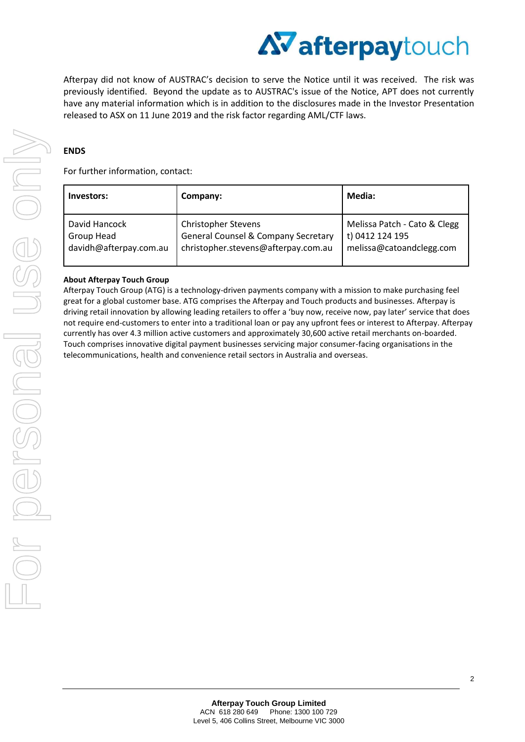

Afterpay did not know of AUSTRAC's decision to serve the Notice until it was received. The risk was previously identified. Beyond the update as to AUSTRAC's issue of the Notice, APT does not currently have any material information which is in addition to the disclosures made in the Investor Presentation released to ASX on 11 June 2019 and the risk factor regarding AML/CTF laws.

# **ENDS**

For further information, contact:

| Investors:             | Company:                                       | Media:                       |
|------------------------|------------------------------------------------|------------------------------|
| David Hancock          | <b>Christopher Stevens</b>                     | Melissa Patch - Cato & Clegg |
| Group Head             | <b>General Counsel &amp; Company Secretary</b> | t) 0412 124 195              |
| davidh@afterpay.com.au | christopher.stevens@afterpay.com.au            | melissa@catoandclegg.com     |

# **About Afterpay Touch Group**

Afterpay Touch Group (ATG) is a technology-driven payments company with a mission to make purchasing feel great for a global customer base. ATG comprises the Afterpay and Touch products and businesses. Afterpay is driving retail innovation by allowing leading retailers to offer a 'buy now, receive now, pay later' service that does not require end-customers to enter into a traditional loan or pay any upfront fees or interest to Afterpay. Afterpay currently has over 4.3 million active customers and approximately 30,600 active retail merchants on-boarded. Touch comprises innovative digital payment businesses servicing major consumer-facing organisations in the telecommunications, health and convenience retail sectors in Australia and overseas.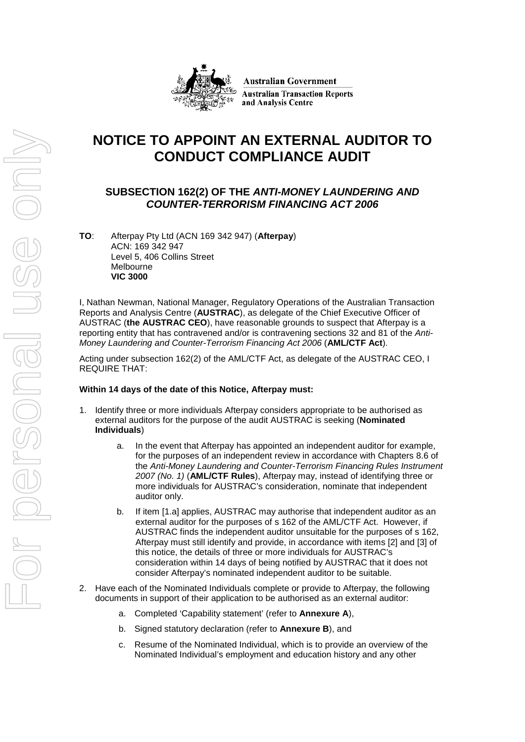

**Australian Government Australian Transaction Reports** and Analysis Centre

# **NOTICE TO APPOINT AN EXTERNAL AUDITOR TO CONDUCT COMPLIANCE AUDIT**

# **SUBSECTION 162(2) OF THE** *ANTI-MONEY LAUNDERING AND COUNTER-TERRORISM FINANCING ACT 2006*

**TO**: Afterpay Pty Ltd (ACN 169 342 947) (**Afterpay**) ACN: 169 342 947 Level 5, 406 Collins Street Melbourne **VIC 3000**

I, Nathan Newman, National Manager, Regulatory Operations of the Australian Transaction Reports and Analysis Centre (**AUSTRAC**), as delegate of the Chief Executive Officer of AUSTRAC (**the AUSTRAC CEO**), have reasonable grounds to suspect that Afterpay is a reporting entity that has contravened and/or is contravening sections 32 and 81 of the *Anti-Money Laundering and Counter-Terrorism Financing Act 2006* (**AML/CTF Act**).

Acting under subsection 162(2) of the AML/CTF Act, as delegate of the AUSTRAC CEO, I REQUIRE THAT:

# **Within 14 days of the date of this Notice, Afterpay must:**

- Identify three or more individuals Afterpay considers appropriate to be authorised as external auditors for the purpose of the audit AUSTRAC is seeking (**Nominated Individuals**)
	- a. In the event that Afterpay has appointed an independent auditor for example, for the purposes of an independent review in accordance with Chapters 8.6 of the *Anti-Money Laundering and Counter-Terrorism Financing Rules Instrument 2007 (No. 1)* (**AML/CTF Rules**), Afterpay may, instead of identifying three or more individuals for AUSTRAC's consideration, nominate that independent auditor only.
	- b. If item [1.a] applies, AUSTRAC may authorise that independent auditor as an external auditor for the purposes of s 162 of the AML/CTF Act. However, if AUSTRAC finds the independent auditor unsuitable for the purposes of s 162, Afterpay must still identify and provide, in accordance with items [2] and [3] of this notice, the details of three or more individuals for AUSTRAC's consideration within 14 days of being notified by AUSTRAC that it does not consider Afterpay's nominated independent auditor to be suitable.
- <span id="page-2-1"></span><span id="page-2-0"></span>2. Have each of the Nominated Individuals complete or provide to Afterpay, the following documents in support of their application to be authorised as an external auditor:
	- a. Completed 'Capability statement' (refer to **Annexure A**),
	- b. Signed statutory declaration (refer to **Annexure B**), and
	- c. Resume of the Nominated Individual, which is to provide an overview of the Nominated Individual's employment and education history and any other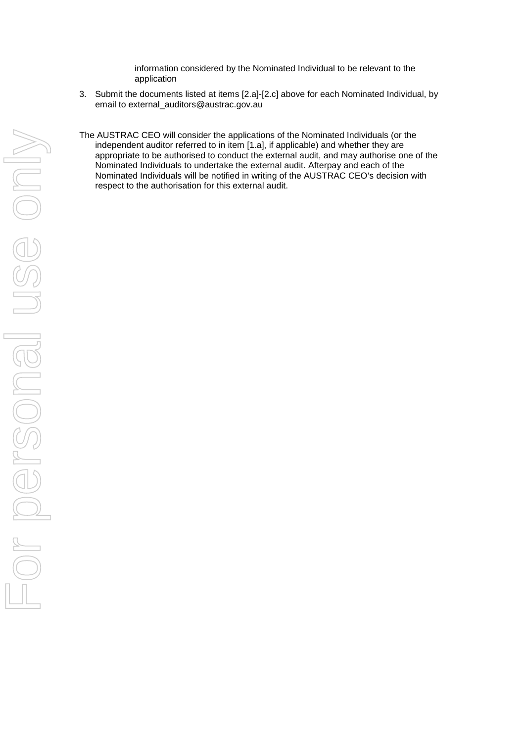information considered by the Nominated Individual to be relevant to the application

- 3. Submit the documents listed at items [\[2.a\]](#page-2-0)-[\[2.c\]](#page-2-1) above for each Nominated Individual, by email to [external\\_auditors@austrac.gov.au](mailto:external_auditors@austrac.gov.au)
- The AUSTRAC CEO will consider the applications of the Nominated Individuals (or the independent auditor referred to in item [1.a], if applicable) and whether they are appropriate to be authorised to conduct the external audit, and may authorise one of the Nominated Individuals to undertake the external audit. Afterpay and each of the Nominated Individuals will be notified in writing of the AUSTRAC CEO's decision with respect to the authorisation for this external audit.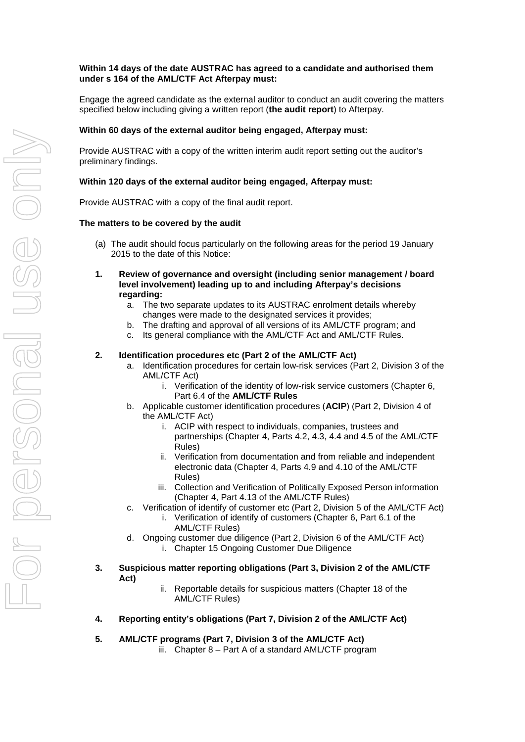## **Within 14 days of the date AUSTRAC has agreed to a candidate and authorised them under s 164 of the AML/CTF Act Afterpay must:**

Engage the agreed candidate as the external auditor to conduct an audit covering the matters specified below including giving a written report (**the audit report**) to Afterpay.

#### **Within 60 days of the external auditor being engaged, Afterpay must:**

Provide AUSTRAC with a copy of the written interim audit report setting out the auditor's preliminary findings.

#### **Within 120 days of the external auditor being engaged, Afterpay must:**

Provide AUSTRAC with a copy of the final audit report.

#### **The matters to be covered by the audit**

- (a) The audit should focus particularly on the following areas for the period 19 January 2015 to the date of this Notice:
- **1. Review of governance and oversight (including senior management / board level involvement) leading up to and including Afterpay's decisions regarding:**
	- a. The two separate updates to its AUSTRAC enrolment details whereby changes were made to the designated services it provides;
	- b. The drafting and approval of all versions of its AML/CTF program; and
	- c. Its general compliance with the AML/CTF Act and AML/CTF Rules.

#### **2. Identification procedures etc (Part 2 of the AML/CTF Act)**

- a. Identification procedures for certain low-risk services (Part 2, Division 3 of the AML/CTF Act)
	- i. Verification of the identity of low-risk service customers (Chapter 6, Part 6.4 of the **AML/CTF Rules**
- b. Applicable customer identification procedures (**ACIP**) (Part 2, Division 4 of the AML/CTF Act)
	- i. ACIP with respect to individuals, companies, trustees and partnerships (Chapter 4, Parts 4.2, 4.3, 4.4 and 4.5 of the AML/CTF Rules)
	- ii. Verification from documentation and from reliable and independent electronic data (Chapter 4, Parts 4.9 and 4.10 of the AML/CTF Rules)
	- iii. Collection and Verification of Politically Exposed Person information (Chapter 4, Part 4.13 of the AML/CTF Rules)
- c. Verification of identify of customer etc (Part 2, Division 5 of the AML/CTF Act)
	- i. Verification of identify of customers (Chapter 6, Part 6.1 of the AML/CTF Rules)
- d. Ongoing customer due diligence (Part 2, Division 6 of the AML/CTF Act)
	- i. Chapter 15 Ongoing Customer Due Diligence
- **3. Suspicious matter reporting obligations (Part 3, Division 2 of the AML/CTF Act)**
	- ii. Reportable details for suspicious matters (Chapter 18 of the AML/CTF Rules)
- **4. Reporting entity's obligations (Part 7, Division 2 of the AML/CTF Act)**
- **5. AML/CTF programs (Part 7, Division 3 of the AML/CTF Act)** iii. Chapter 8 – Part A of a standard AML/CTF program